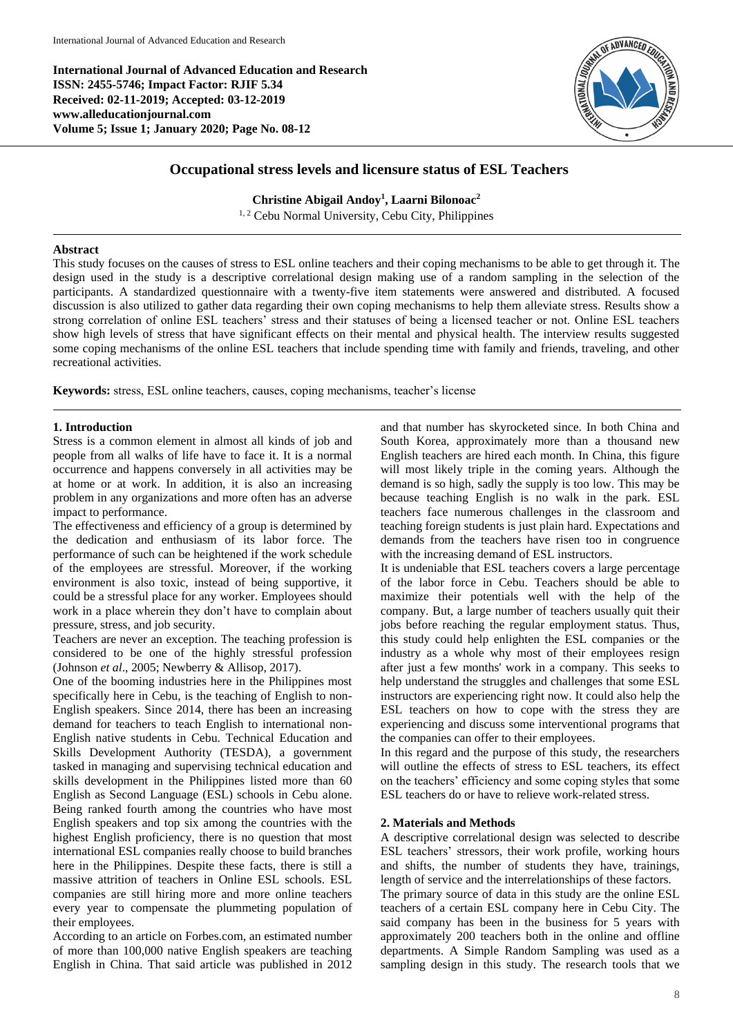**International Journal of Advanced Education and Research ISSN: 2455-5746; Impact Factor: RJIF 5.34 Received: 02-11-2019; Accepted: 03-12-2019 www.alleducationjournal.com Volume 5; Issue 1; January 2020; Page No. 08-12**



# **Occupational stress levels and licensure status of ESL Teachers**

**Christine Abigail Andoy<sup>1</sup> , Laarni Bilonoac<sup>2</sup>** <sup>1, 2</sup> Cebu Normal University, Cebu City, Philippines

## **Abstract**

This study focuses on the causes of stress to ESL online teachers and their coping mechanisms to be able to get through it. The design used in the study is a descriptive correlational design making use of a random sampling in the selection of the participants. A standardized questionnaire with a twenty-five item statements were answered and distributed. A focused discussion is also utilized to gather data regarding their own coping mechanisms to help them alleviate stress. Results show a strong correlation of online ESL teachers' stress and their statuses of being a licensed teacher or not. Online ESL teachers show high levels of stress that have significant effects on their mental and physical health. The interview results suggested some coping mechanisms of the online ESL teachers that include spending time with family and friends, traveling, and other recreational activities.

**Keywords:** stress, ESL online teachers, causes, coping mechanisms, teacher's license

#### **1. Introduction**

Stress is a common element in almost all kinds of job and people from all walks of life have to face it. It is a normal occurrence and happens conversely in all activities may be at home or at work. In addition, it is also an increasing problem in any organizations and more often has an adverse impact to performance.

The effectiveness and efficiency of a group is determined by the dedication and enthusiasm of its labor force. The performance of such can be heightened if the work schedule of the employees are stressful. Moreover, if the working environment is also toxic, instead of being supportive, it could be a stressful place for any worker. Employees should work in a place wherein they don't have to complain about pressure, stress, and job security.

Teachers are never an exception. The teaching profession is considered to be one of the highly stressful profession (Johnson *et al*., 2005; Newberry & Allisop, 2017).

One of the booming industries here in the Philippines most specifically here in Cebu, is the teaching of English to non-English speakers. Since 2014, there has been an increasing demand for teachers to teach English to international non-English native students in Cebu. Technical Education and Skills Development Authority (TESDA), a government tasked in managing and supervising technical education and skills development in the Philippines listed more than 60 English as Second Language (ESL) schools in Cebu alone. Being ranked fourth among the countries who have most English speakers and top six among the countries with the highest English proficiency, there is no question that most international ESL companies really choose to build branches here in the Philippines. Despite these facts, there is still a massive attrition of teachers in Online ESL schools. ESL companies are still hiring more and more online teachers every year to compensate the plummeting population of their employees.

According to an article on Forbes.com, an estimated number of more than 100,000 native English speakers are teaching English in China. That said article was published in 2012 and that number has skyrocketed since. In both China and South Korea, approximately more than a thousand new English teachers are hired each month. In China, this figure will most likely triple in the coming years. Although the demand is so high, sadly the supply is too low. This may be because teaching English is no walk in the park. ESL teachers face numerous challenges in the classroom and teaching foreign students is just plain hard. Expectations and demands from the teachers have risen too in congruence with the increasing demand of ESL instructors.

It is undeniable that ESL teachers covers a large percentage of the labor force in Cebu. Teachers should be able to maximize their potentials well with the help of the company. But, a large number of teachers usually quit their jobs before reaching the regular employment status. Thus, this study could help enlighten the ESL companies or the industry as a whole why most of their employees resign after just a few months' work in a company. This seeks to help understand the struggles and challenges that some ESL instructors are experiencing right now. It could also help the ESL teachers on how to cope with the stress they are experiencing and discuss some interventional programs that the companies can offer to their employees.

In this regard and the purpose of this study, the researchers will outline the effects of stress to ESL teachers, its effect on the teachers' efficiency and some coping styles that some ESL teachers do or have to relieve work-related stress.

# **2. Materials and Methods**

A descriptive correlational design was selected to describe ESL teachers' stressors, their work profile, working hours and shifts, the number of students they have, trainings, length of service and the interrelationships of these factors.

The primary source of data in this study are the online ESL teachers of a certain ESL company here in Cebu City. The said company has been in the business for 5 years with approximately 200 teachers both in the online and offline departments. A Simple Random Sampling was used as a sampling design in this study. The research tools that we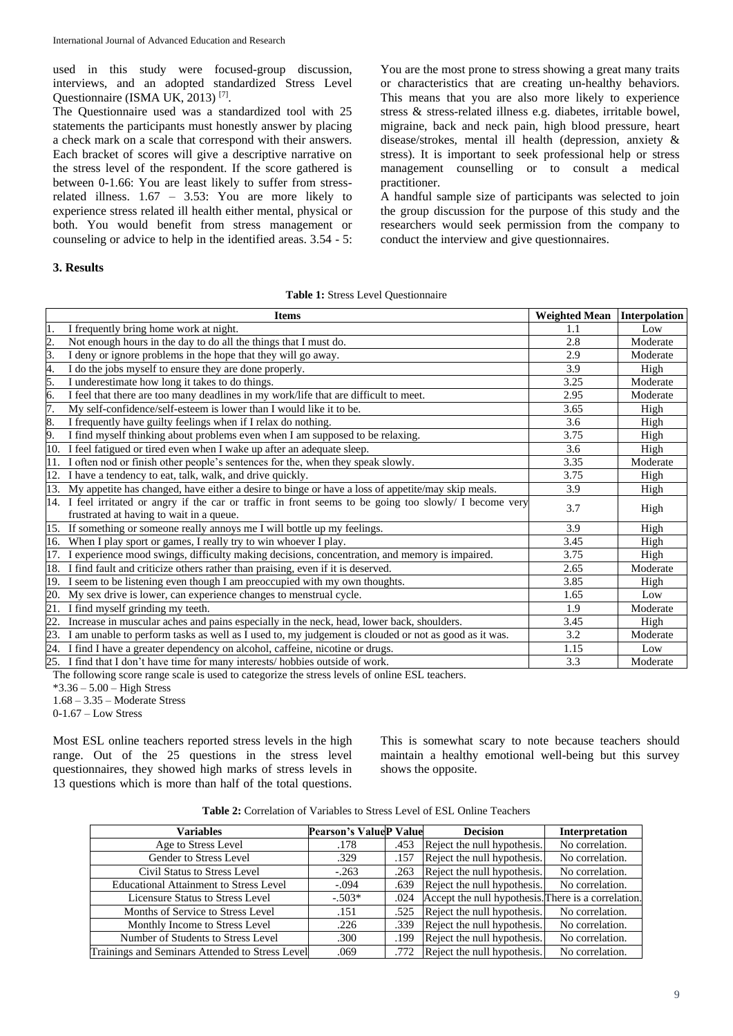used in this study were focused-group discussion, interviews, and an adopted standardized Stress Level Questionnaire (ISMA UK, 2013)<sup>[7]</sup>.

The Questionnaire used was a standardized tool with 25 statements the participants must honestly answer by placing a check mark on a scale that correspond with their answers. Each bracket of scores will give a descriptive narrative on the stress level of the respondent. If the score gathered is between 0-1.66: You are least likely to suffer from stressrelated illness. 1.67 – 3.53: You are more likely to experience stress related ill health either mental, physical or both. You would benefit from stress management or counseling or advice to help in the identified areas. 3.54 - 5:

# **3. Results**

You are the most prone to stress showing a great many traits or characteristics that are creating un-healthy behaviors. This means that you are also more likely to experience stress & stress-related illness e.g. diabetes, irritable bowel, migraine, back and neck pain, high blood pressure, heart disease/strokes, mental ill health (depression, anxiety & stress). It is important to seek professional help or stress management counselling or to consult a medical practitioner.

A handful sample size of participants was selected to join the group discussion for the purpose of this study and the researchers would seek permission from the company to conduct the interview and give questionnaires.

|  |  |  | <b>Table 1:</b> Stress Level Questionnaire |  |
|--|--|--|--------------------------------------------|--|
|--|--|--|--------------------------------------------|--|

|                                                                                                          | <b>Items</b>                                                                                                                                         | <b>Weighted Mean</b> | <b>Interpolation</b> |
|----------------------------------------------------------------------------------------------------------|------------------------------------------------------------------------------------------------------------------------------------------------------|----------------------|----------------------|
| 1.                                                                                                       | I frequently bring home work at night.                                                                                                               | 1.1                  | Low                  |
| $\overline{c}$ .                                                                                         | Not enough hours in the day to do all the things that I must do.                                                                                     | 2.8                  | Moderate             |
| 3.                                                                                                       | I deny or ignore problems in the hope that they will go away.                                                                                        | 2.9                  | Moderate             |
| 4.                                                                                                       | I do the jobs myself to ensure they are done properly.                                                                                               | 3.9                  | High                 |
| 5.                                                                                                       | I underestimate how long it takes to do things.                                                                                                      | 3.25                 | Moderate             |
| б.                                                                                                       | I feel that there are too many deadlines in my work/life that are difficult to meet.                                                                 | 2.95                 | Moderate             |
| 7.                                                                                                       | My self-confidence/self-esteem is lower than I would like it to be.                                                                                  | 3.65                 | High                 |
| 8.                                                                                                       | I frequently have guilty feelings when if I relax do nothing.                                                                                        | 3.6                  | High                 |
| 9.                                                                                                       | I find myself thinking about problems even when I am supposed to be relaxing.                                                                        | 3.75                 | High                 |
|                                                                                                          | 10. I feel fatigued or tired even when I wake up after an adequate sleep.                                                                            | 3.6                  | High                 |
| 11.                                                                                                      | I often nod or finish other people's sentences for the, when they speak slowly.                                                                      | 3.35                 | Moderate             |
|                                                                                                          | 12. I have a tendency to eat, talk, walk, and drive quickly.                                                                                         | 3.75                 | High                 |
|                                                                                                          | 13. My appetite has changed, have either a desire to binge or have a loss of appetite/may skip meals.                                                | 3.9                  | High                 |
|                                                                                                          | 14. I feel irritated or angry if the car or traffic in front seems to be going too slowly/ I become very<br>frustrated at having to wait in a queue. | 3.7                  | High                 |
|                                                                                                          | 15. If something or someone really annoys me I will bottle up my feelings.                                                                           | 3.9                  | High                 |
|                                                                                                          | 16. When I play sport or games, I really try to win whoever I play.                                                                                  | 3.45                 | High                 |
|                                                                                                          | 17. I experience mood swings, difficulty making decisions, concentration, and memory is impaired.                                                    | 3.75                 | High                 |
|                                                                                                          | 18. I find fault and criticize others rather than praising, even if it is deserved.                                                                  | 2.65                 | Moderate             |
|                                                                                                          | 19. I seem to be listening even though I am preoccupied with my own thoughts.                                                                        | 3.85                 | High                 |
|                                                                                                          | 20. My sex drive is lower, can experience changes to menstrual cycle.                                                                                | 1.65                 | Low                  |
| 21.                                                                                                      | I find myself grinding my teeth.                                                                                                                     | 1.9                  | Moderate             |
| 22.                                                                                                      | Increase in muscular aches and pains especially in the neck, head, lower back, shoulders.                                                            | 3.45                 | High                 |
| 23. I am unable to perform tasks as well as I used to, my judgement is clouded or not as good as it was. |                                                                                                                                                      | 3.2                  | Moderate             |
|                                                                                                          | 24. I find I have a greater dependency on alcohol, caffeine, nicotine or drugs.                                                                      | 1.15                 | Low                  |
| 25. I find that I don't have time for many interests/hobbies outside of work.                            |                                                                                                                                                      | 3.3                  | Moderate             |

The following score range scale is used to categorize the stress levels of online ESL teachers.

\*3.36 – 5.00 – High Stress

1.68 – 3.35 – Moderate Stress

 $0-1.67 - Low Stress$ 

Most ESL online teachers reported stress levels in the high range. Out of the 25 questions in the stress level questionnaires, they showed high marks of stress levels in 13 questions which is more than half of the total questions.

This is somewhat scary to note because teachers should maintain a healthy emotional well-being but this survey shows the opposite.

| <b>Table 2:</b> Correlation of Variables to Stress Level of ESL Online Teachers |  |  |
|---------------------------------------------------------------------------------|--|--|
|---------------------------------------------------------------------------------|--|--|

| Variables                                       | <b>Pearson's ValueP Value</b> |      | <b>Decision</b>                                     | <b>Interpretation</b> |
|-------------------------------------------------|-------------------------------|------|-----------------------------------------------------|-----------------------|
| Age to Stress Level                             | .178                          | .453 | Reject the null hypothesis.                         | No correlation.       |
| Gender to Stress Level                          | .329                          | .157 | Reject the null hypothesis.                         | No correlation.       |
| Civil Status to Stress Level                    | $-.263$                       | .263 | Reject the null hypothesis.                         | No correlation.       |
| <b>Educational Attainment to Stress Level</b>   | $-.094$                       | .639 | Reject the null hypothesis.                         | No correlation.       |
| Licensure Status to Stress Level                | $-.503*$                      | .024 | Accept the null hypothesis. There is a correlation. |                       |
| Months of Service to Stress Level               | .151                          | .525 | Reject the null hypothesis.                         | No correlation.       |
| Monthly Income to Stress Level                  | .226                          | .339 | Reject the null hypothesis.                         | No correlation.       |
| Number of Students to Stress Level              | .300                          | .199 | Reject the null hypothesis.                         | No correlation.       |
| Trainings and Seminars Attended to Stress Level | .069                          | .772 | Reject the null hypothesis.                         | No correlation.       |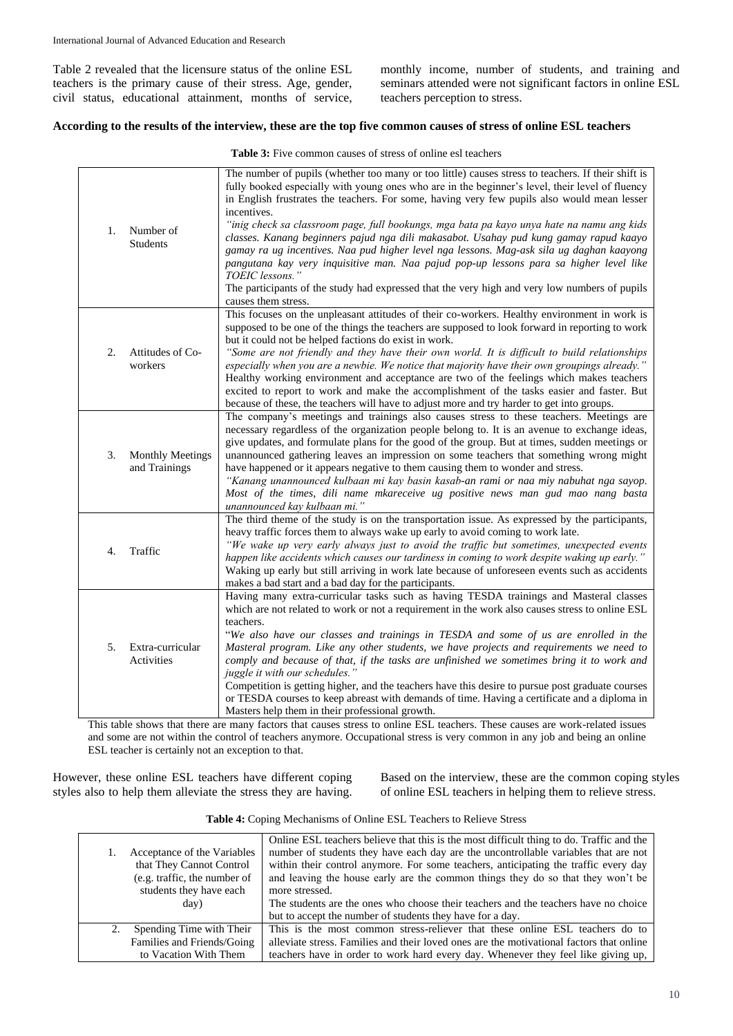Table 2 revealed that the licensure status of the online ESL teachers is the primary cause of their stress. Age, gender, civil status, educational attainment, months of service, monthly income, number of students, and training and seminars attended were not significant factors in online ESL teachers perception to stress.

# **According to the results of the interview, these are the top five common causes of stress of online ESL teachers**

| 1. | Number of<br><b>Students</b>             | The number of pupils (whether too many or too little) causes stress to teachers. If their shift is<br>fully booked especially with young ones who are in the beginner's level, their level of fluency<br>in English frustrates the teachers. For some, having very few pupils also would mean lesser<br>incentives.<br>"inig check sa classroom page, full bookungs, mga bata pa kayo unya hate na namu ang kids<br>classes. Kanang beginners pajud nga dili makasabot. Usahay pud kung gamay rapud kaayo<br>gamay ra ug incentives. Naa pud higher level nga lessons. Mag-ask sila ug daghan kaayong<br>pangutana kay very inquisitive man. Naa pajud pop-up lessons para sa higher level like<br>TOEIC lessons."<br>The participants of the study had expressed that the very high and very low numbers of pupils<br>causes them stress. |
|----|------------------------------------------|--------------------------------------------------------------------------------------------------------------------------------------------------------------------------------------------------------------------------------------------------------------------------------------------------------------------------------------------------------------------------------------------------------------------------------------------------------------------------------------------------------------------------------------------------------------------------------------------------------------------------------------------------------------------------------------------------------------------------------------------------------------------------------------------------------------------------------------------|
| 2. | Attitudes of Co-<br>workers              | This focuses on the unpleasant attitudes of their co-workers. Healthy environment in work is<br>supposed to be one of the things the teachers are supposed to look forward in reporting to work<br>but it could not be helped factions do exist in work.<br>"Some are not friendly and they have their own world. It is difficult to build relationships<br>especially when you are a newbie. We notice that majority have their own groupings already."<br>Healthy working environment and acceptance are two of the feelings which makes teachers<br>excited to report to work and make the accomplishment of the tasks easier and faster. But<br>because of these, the teachers will have to adjust more and try harder to get into groups.                                                                                             |
| 3. | <b>Monthly Meetings</b><br>and Trainings | The company's meetings and trainings also causes stress to these teachers. Meetings are<br>necessary regardless of the organization people belong to. It is an avenue to exchange ideas,<br>give updates, and formulate plans for the good of the group. But at times, sudden meetings or<br>unannounced gathering leaves an impression on some teachers that something wrong might<br>have happened or it appears negative to them causing them to wonder and stress.<br>"Kanang unannounced kulbaan mi kay basin kasab-an rami or naa miy nabuhat nga sayop.<br>Most of the times, dili name mkareceive ug positive news man gud mao nang basta<br>unannounced kay kulbaan mi."                                                                                                                                                          |
| 4. | Traffic                                  | The third theme of the study is on the transportation issue. As expressed by the participants,<br>heavy traffic forces them to always wake up early to avoid coming to work late.<br>"We wake up very early always just to avoid the traffic but sometimes, unexpected events<br>happen like accidents which causes our tardiness in coming to work despite waking up early."<br>Waking up early but still arriving in work late because of unforeseen events such as accidents<br>makes a bad start and a bad day for the participants.                                                                                                                                                                                                                                                                                                   |
| 5. | Extra-curricular<br>Activities           | Having many extra-curricular tasks such as having TESDA trainings and Masteral classes<br>which are not related to work or not a requirement in the work also causes stress to online ESL<br>teachers.<br>"We also have our classes and trainings in TESDA and some of us are enrolled in the<br>Masteral program. Like any other students, we have projects and requirements we need to<br>comply and because of that, if the tasks are unfinished we sometimes bring it to work and<br>juggle it with our schedules."<br>Competition is getting higher, and the teachers have this desire to pursue post graduate courses<br>or TESDA courses to keep abreast with demands of time. Having a certificate and a diploma in<br>Masters help them in their professional growth.                                                             |

**Table 3:** Five common causes of stress of online esl teachers

This table shows that there are many factors that causes stress to online ESL teachers. These causes are work-related issues and some are not within the control of teachers anymore. Occupational stress is very common in any job and being an online ESL teacher is certainly not an exception to that.

However, these online ESL teachers have different coping styles also to help them alleviate the stress they are having.

Based on the interview, these are the common coping styles of online ESL teachers in helping them to relieve stress.

| Acceptance of the Variables<br>that They Cannot Control<br>(e.g. traffic, the number of<br>students they have each<br>day) | Online ESL teachers believe that this is the most difficult thing to do. Traffic and the<br>number of students they have each day are the uncontrollable variables that are not<br>within their control anymore. For some teachers, anticipating the traffic every day<br>and leaving the house early are the common things they do so that they won't be<br>more stressed.<br>The students are the ones who choose their teachers and the teachers have no choice<br>but to accept the number of students they have for a day. |
|----------------------------------------------------------------------------------------------------------------------------|---------------------------------------------------------------------------------------------------------------------------------------------------------------------------------------------------------------------------------------------------------------------------------------------------------------------------------------------------------------------------------------------------------------------------------------------------------------------------------------------------------------------------------|
| Spending Time with Their                                                                                                   | This is the most common stress-reliever that these online ESL teachers do to                                                                                                                                                                                                                                                                                                                                                                                                                                                    |
| Families and Friends/Going                                                                                                 | alleviate stress. Families and their loved ones are the motivational factors that online                                                                                                                                                                                                                                                                                                                                                                                                                                        |
| to Vacation With Them                                                                                                      | teachers have in order to work hard every day. Whenever they feel like giving up,                                                                                                                                                                                                                                                                                                                                                                                                                                               |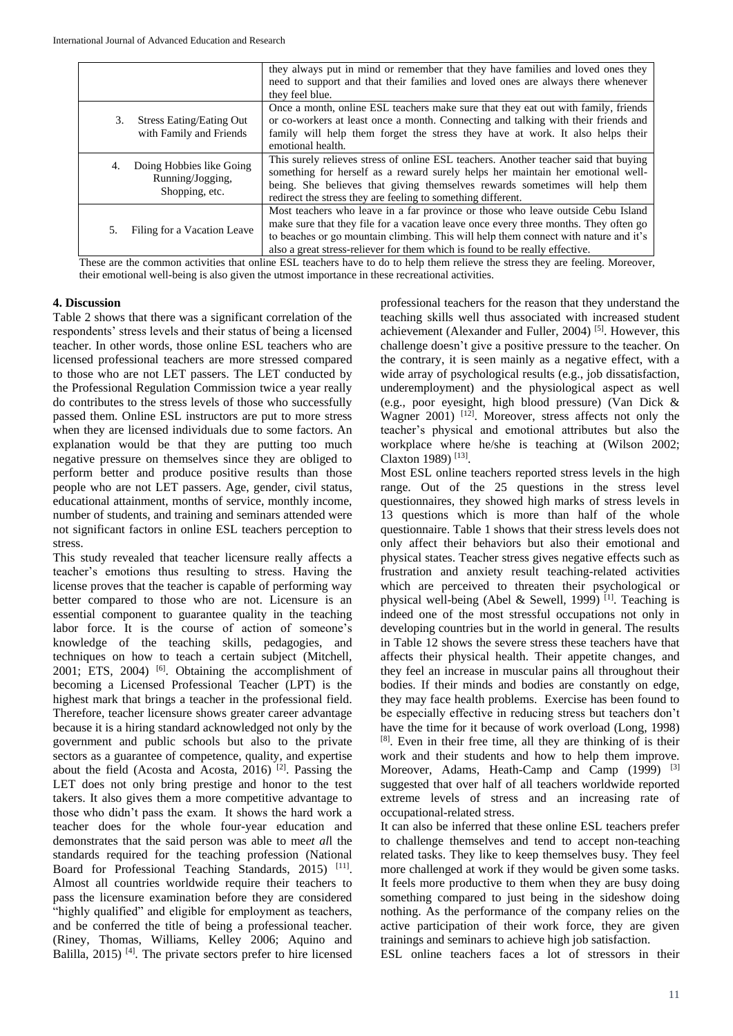|    |                                                                | they always put in mind or remember that they have families and loved ones they<br>need to support and that their families and loved ones are always there whenever<br>they feel blue.                                                                                                                                                           |
|----|----------------------------------------------------------------|--------------------------------------------------------------------------------------------------------------------------------------------------------------------------------------------------------------------------------------------------------------------------------------------------------------------------------------------------|
| 3. | <b>Stress Eating/Eating Out</b><br>with Family and Friends     | Once a month, online ESL teachers make sure that they eat out with family, friends<br>or co-workers at least once a month. Connecting and talking with their friends and<br>family will help them forget the stress they have at work. It also helps their<br>emotional health.                                                                  |
| 4. | Doing Hobbies like Going<br>Running/Jogging,<br>Shopping, etc. | This surely relieves stress of online ESL teachers. Another teacher said that buying<br>something for herself as a reward surely helps her maintain her emotional well-<br>being. She believes that giving themselves rewards sometimes will help them<br>redirect the stress they are feeling to something different.                           |
| 5. | Filing for a Vacation Leave                                    | Most teachers who leave in a far province or those who leave outside Cebu Island<br>make sure that they file for a vacation leave once every three months. They often go<br>to beaches or go mountain climbing. This will help them connect with nature and it's<br>also a great stress-reliever for them which is found to be really effective. |

These are the common activities that online ESL teachers have to do to help them relieve the stress they are feeling. Moreover, their emotional well-being is also given the utmost importance in these recreational activities.

# **4. Discussion**

Table 2 shows that there was a significant correlation of the respondents' stress levels and their status of being a licensed teacher. In other words, those online ESL teachers who are licensed professional teachers are more stressed compared to those who are not LET passers. The LET conducted by the Professional Regulation Commission twice a year really do contributes to the stress levels of those who successfully passed them. Online ESL instructors are put to more stress when they are licensed individuals due to some factors. An explanation would be that they are putting too much negative pressure on themselves since they are obliged to perform better and produce positive results than those people who are not LET passers. Age, gender, civil status, educational attainment, months of service, monthly income, number of students, and training and seminars attended were not significant factors in online ESL teachers perception to stress.

This study revealed that teacher licensure really affects a teacher's emotions thus resulting to stress. Having the license proves that the teacher is capable of performing way better compared to those who are not. Licensure is an essential component to guarantee quality in the teaching labor force. It is the course of action of someone's knowledge of the teaching skills, pedagogies, and techniques on how to teach a certain subject (Mitchell, 2001; ETS, 2004) <sup>[6]</sup>. Obtaining the accomplishment of becoming a Licensed Professional Teacher (LPT) is the highest mark that brings a teacher in the professional field. Therefore, teacher licensure shows greater career advantage because it is a hiring standard acknowledged not only by the government and public schools but also to the private sectors as a guarantee of competence, quality, and expertise about the field (Acosta and Acosta, 2016)  $[2]$ . Passing the LET does not only bring prestige and honor to the test takers. It also gives them a more competitive advantage to those who didn't pass the exam. It shows the hard work a teacher does for the whole four-year education and demonstrates that the said person was able to me*et al*l the standards required for the teaching profession (National Board for Professional Teaching Standards, 2015)<sup>[11]</sup>. Almost all countries worldwide require their teachers to pass the licensure examination before they are considered "highly qualified" and eligible for employment as teachers, and be conferred the title of being a professional teacher. (Riney, Thomas, Williams, Kelley 2006; Aquino and Balilla,  $2015$ <sup>[4]</sup>. The private sectors prefer to hire licensed

professional teachers for the reason that they understand the teaching skills well thus associated with increased student achievement (Alexander and Fuller, 2004) [5]. However, this challenge doesn't give a positive pressure to the teacher. On the contrary, it is seen mainly as a negative effect, with a wide array of psychological results (e.g., job dissatisfaction, underemployment) and the physiological aspect as well (e.g., poor eyesight, high blood pressure) (Van Dick & Wagner 2001) <sup>[12]</sup>. Moreover, stress affects not only the teacher's physical and emotional attributes but also the workplace where he/she is teaching at (Wilson 2002; Claxton 1989)<sup>[13]</sup>.

Most ESL online teachers reported stress levels in the high range. Out of the 25 questions in the stress level questionnaires, they showed high marks of stress levels in 13 questions which is more than half of the whole questionnaire. Table 1 shows that their stress levels does not only affect their behaviors but also their emotional and physical states. Teacher stress gives negative effects such as frustration and anxiety result teaching-related activities which are perceived to threaten their psychological or physical well-being (Abel & Sewell, 1999)<sup>[1]</sup>. Teaching is indeed one of the most stressful occupations not only in developing countries but in the world in general. The results in Table 12 shows the severe stress these teachers have that affects their physical health. Their appetite changes, and they feel an increase in muscular pains all throughout their bodies. If their minds and bodies are constantly on edge, they may face health problems. Exercise has been found to be especially effective in reducing stress but teachers don't have the time for it because of work overload (Long, 1998) [8]. Even in their free time, all they are thinking of is their work and their students and how to help them improve. Moreover, Adams, Heath-Camp and Camp (1999) <sup>[3]</sup> suggested that over half of all teachers worldwide reported extreme levels of stress and an increasing rate of occupational-related stress.

It can also be inferred that these online ESL teachers prefer to challenge themselves and tend to accept non-teaching related tasks. They like to keep themselves busy. They feel more challenged at work if they would be given some tasks. It feels more productive to them when they are busy doing something compared to just being in the sideshow doing nothing. As the performance of the company relies on the active participation of their work force, they are given trainings and seminars to achieve high job satisfaction.

ESL online teachers faces a lot of stressors in their